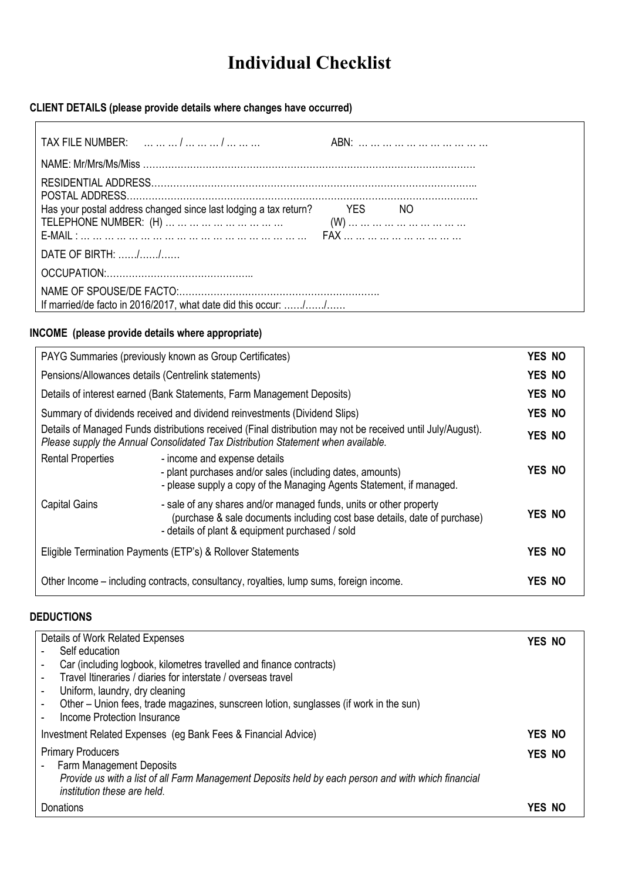# **Individual Checklist**

# **CLIENT DETAILS (please provide details where changes have occurred)**

| Has your postal address changed since last lodging a tax return? | YES NO |  |  |  |
|------------------------------------------------------------------|--------|--|--|--|
|                                                                  |        |  |  |  |
| DATE OF BIRTH: //                                                |        |  |  |  |
|                                                                  |        |  |  |  |
| If married/de facto in 2016/2017, what date did this occur: //   |        |  |  |  |

#### **INCOME (please provide details where appropriate)**

| PAYG Summaries (previously known as Group Certificates)                                                                                                                                         |                                                                                                                                                                                                    | <b>YES NO</b> |
|-------------------------------------------------------------------------------------------------------------------------------------------------------------------------------------------------|----------------------------------------------------------------------------------------------------------------------------------------------------------------------------------------------------|---------------|
| Pensions/Allowances details (Centrelink statements)                                                                                                                                             |                                                                                                                                                                                                    | <b>YES NO</b> |
| Details of interest earned (Bank Statements, Farm Management Deposits)                                                                                                                          |                                                                                                                                                                                                    | <b>YES NO</b> |
| Summary of dividends received and dividend reinvestments (Dividend Slips)                                                                                                                       |                                                                                                                                                                                                    |               |
| Details of Managed Funds distributions received (Final distribution may not be received until July/August).<br>Please supply the Annual Consolidated Tax Distribution Statement when available. |                                                                                                                                                                                                    | <b>YES NO</b> |
| <b>Rental Properties</b>                                                                                                                                                                        | - income and expense details<br>- plant purchases and/or sales (including dates, amounts)<br>- please supply a copy of the Managing Agents Statement, if managed.                                  | YES NO        |
| <b>Capital Gains</b>                                                                                                                                                                            | - sale of any shares and/or managed funds, units or other property<br>(purchase & sale documents including cost base details, date of purchase)<br>- details of plant & equipment purchased / sold | YES NO        |
| Eligible Termination Payments (ETP's) & Rollover Statements                                                                                                                                     |                                                                                                                                                                                                    | YES NO        |
| Other Income – including contracts, consultancy, royalties, lump sums, foreign income.                                                                                                          |                                                                                                                                                                                                    |               |

#### **DEDUCTIONS**

| Details of Work Related Expenses                                                                                                   | YES NO |  |
|------------------------------------------------------------------------------------------------------------------------------------|--------|--|
| Self education                                                                                                                     |        |  |
| Car (including logbook, kilometres travelled and finance contracts)                                                                |        |  |
| Travel Itineraries / diaries for interstate / overseas travel                                                                      |        |  |
| Uniform, laundry, dry cleaning                                                                                                     |        |  |
| Other – Union fees, trade magazines, sunscreen lotion, sunglasses (if work in the sun)                                             |        |  |
| Income Protection Insurance                                                                                                        |        |  |
| Investment Related Expenses (eg Bank Fees & Financial Advice)                                                                      | YES NO |  |
| <b>Primary Producers</b>                                                                                                           | YES NO |  |
| <b>Farm Management Deposits</b>                                                                                                    |        |  |
| Provide us with a list of all Farm Management Deposits held by each person and with which financial<br>institution these are held. |        |  |
| Donations                                                                                                                          | YES NO |  |